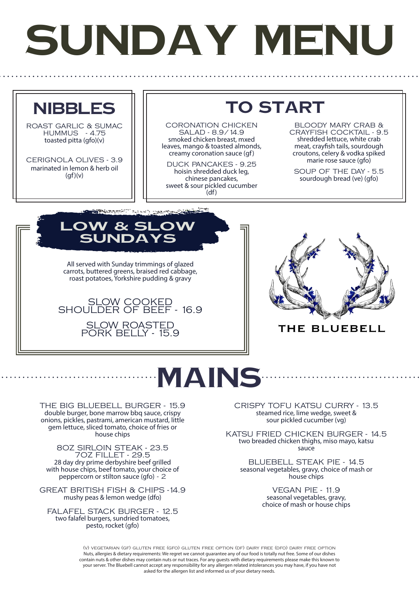## **SUNDAY MENU**



ROAST GARLIC & SUMAC HUMMUS - 4.75 toasted pitta (gfo)(y)

CERIGNOLA OLIVES - 3.9 marinated in lemon & herb oil  $(af)(v)$ 

**TO START**

CORONATION CHICKEN SALAD - 8.9/14.9 smoked chicken breast, mxed leaves, mango & toasted almonds, creamy coronation sauce (gf)

DUCK PANCAKES - 9.25 hoisin shredded duck leg, chinese pancakes, sweet & sour pickled cucumber  $(df)$ 

BLOODY MARY CRAB & CRAYFISH COCKTAIL - 9.5 shredded lettuce, white crab meat, crayfish tails, sourdough croutons, celery & vodka spiked marie rose sauce (gfo)

SOUP OF THE DAY - 5.5 sourdough bread (ve) (gfo)

**LOW & SI**  $J\mathbf{N}\mathbf{D}\mathbf{A}^T$ 

All served with Sunday trimmings of glazed carrots, buttered greens, braised red cabbage, roast potatoes, Yorkshire pudding & gravy

فللمستصرف والمساورة المركبين والمستعلمة فليتنا

SLOW COOKED SHOULDER OF BEEF - 16.9 SLOW ROASTED PORK BELLY - 15.9

THE BIG BLUEBELL BURGER - 15.9 double burger, bone marrow bbq sauce, crispy onions, pickles, pastrami, american mustard, little gem lettuce, sliced tomato, choice of fries or house chips

8OZ SIRLOIN STEAK - 23.5 7OZ FILLET - 29.5 28 day dry prime derbyshire beef grilled with house chips, beef tomato, your choice of peppercorn or stilton sauce (gfo) - 2 GREAT BRITISH FISH & CHIPS -14.9 mushy peas & lemon wedge (dfo) FALAFEL STACK BURGER - 12.5 two falafel burgers, sundried tomatoes, pesto, rocket (gfo)

## THE BLUEBELL



CRISPY TOFU KATSU CURRY - 13.5 steamed rice, lime wedge, sweet & sour pickled cucumber (vg)

KATSU FRIED CHICKEN BURGER - 14.5 two breaded chicken thighs, miso mayo, katsu sauce

BLUEBELL STEAK PIE - 14.5 seasonal vegetables, gravy, choice of mash or house chips

> VEGAN PIE - 11.9 seasonal vegetables, gravy, choice of mash or house chips

(v) vegetarian (gf) gluten free (gfo) gluten free option (df) dairy free (dfo) dairy free option Nuts, allergies & dietary requirements: We regret we cannot guarantee any of our food is totally nut free. Some of our dishes contain nuts & other dishes may contain nuts or nut traces. For any guests with dietary requirements please make this known to your server. The Bluebell cannot accept any responsibility for any allergen related intolerances you may have, if you have not asked for the allergen list and informed us of your dietary needs.